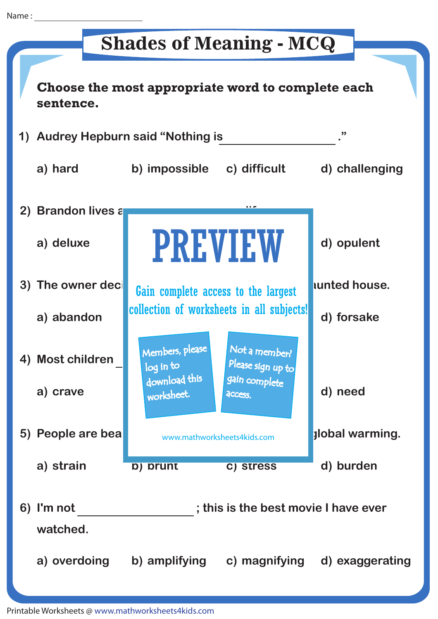## **Shades of Meaning - MCQ**